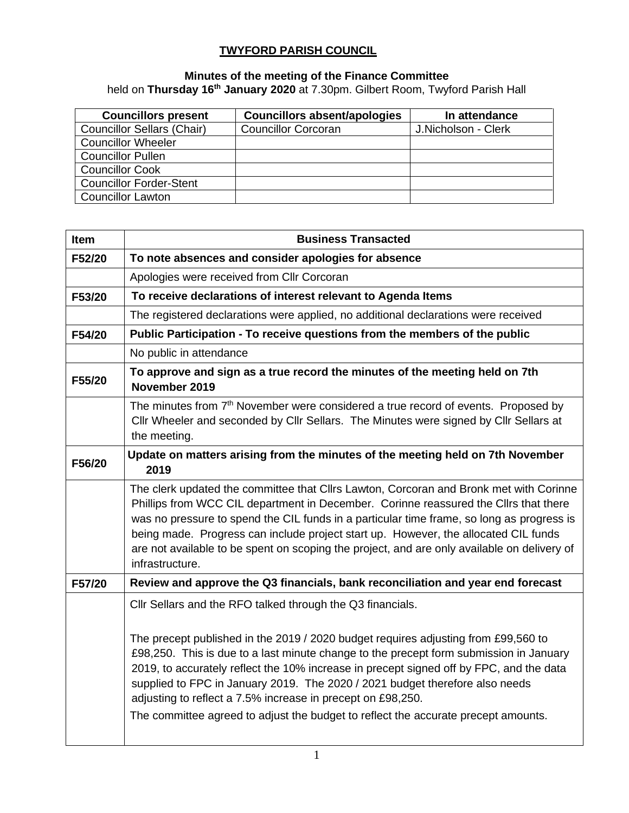## **TWYFORD PARISH COUNCIL**

## **Minutes of the meeting of the Finance Committee**

held on **Thursday 16th January 2020** at 7.30pm. Gilbert Room, Twyford Parish Hall

| <b>Councillors present</b>        | <b>Councillors absent/apologies</b> | In attendance       |
|-----------------------------------|-------------------------------------|---------------------|
| <b>Councillor Sellars (Chair)</b> | <b>Councillor Corcoran</b>          | J.Nicholson - Clerk |
| <b>Councillor Wheeler</b>         |                                     |                     |
| <b>Councillor Pullen</b>          |                                     |                     |
| <b>Councillor Cook</b>            |                                     |                     |
| <b>Councillor Forder-Stent</b>    |                                     |                     |
| <b>Councillor Lawton</b>          |                                     |                     |

| <b>Item</b> | <b>Business Transacted</b>                                                                                                                                                                                                                                                                                                                                                                                                                                                                                                                                                 |  |  |  |  |  |
|-------------|----------------------------------------------------------------------------------------------------------------------------------------------------------------------------------------------------------------------------------------------------------------------------------------------------------------------------------------------------------------------------------------------------------------------------------------------------------------------------------------------------------------------------------------------------------------------------|--|--|--|--|--|
| F52/20      | To note absences and consider apologies for absence                                                                                                                                                                                                                                                                                                                                                                                                                                                                                                                        |  |  |  |  |  |
|             | Apologies were received from Cllr Corcoran                                                                                                                                                                                                                                                                                                                                                                                                                                                                                                                                 |  |  |  |  |  |
| F53/20      | To receive declarations of interest relevant to Agenda Items                                                                                                                                                                                                                                                                                                                                                                                                                                                                                                               |  |  |  |  |  |
|             | The registered declarations were applied, no additional declarations were received                                                                                                                                                                                                                                                                                                                                                                                                                                                                                         |  |  |  |  |  |
| F54/20      | Public Participation - To receive questions from the members of the public                                                                                                                                                                                                                                                                                                                                                                                                                                                                                                 |  |  |  |  |  |
|             | No public in attendance                                                                                                                                                                                                                                                                                                                                                                                                                                                                                                                                                    |  |  |  |  |  |
| F55/20      | To approve and sign as a true record the minutes of the meeting held on 7th<br>November 2019                                                                                                                                                                                                                                                                                                                                                                                                                                                                               |  |  |  |  |  |
|             | The minutes from 7 <sup>th</sup> November were considered a true record of events. Proposed by<br>Cllr Wheeler and seconded by Cllr Sellars. The Minutes were signed by Cllr Sellars at<br>the meeting.                                                                                                                                                                                                                                                                                                                                                                    |  |  |  |  |  |
| F56/20      | Update on matters arising from the minutes of the meeting held on 7th November<br>2019                                                                                                                                                                                                                                                                                                                                                                                                                                                                                     |  |  |  |  |  |
|             | The clerk updated the committee that Cllrs Lawton, Corcoran and Bronk met with Corinne<br>Phillips from WCC CIL department in December. Corinne reassured the CIIrs that there<br>was no pressure to spend the CIL funds in a particular time frame, so long as progress is<br>being made. Progress can include project start up. However, the allocated CIL funds<br>are not available to be spent on scoping the project, and are only available on delivery of<br>infrastructure.                                                                                       |  |  |  |  |  |
| F57/20      | Review and approve the Q3 financials, bank reconciliation and year end forecast                                                                                                                                                                                                                                                                                                                                                                                                                                                                                            |  |  |  |  |  |
|             | Cllr Sellars and the RFO talked through the Q3 financials.<br>The precept published in the 2019 / 2020 budget requires adjusting from £99,560 to<br>£98,250. This is due to a last minute change to the precept form submission in January<br>2019, to accurately reflect the 10% increase in precept signed off by FPC, and the data<br>supplied to FPC in January 2019. The 2020 / 2021 budget therefore also needs<br>adjusting to reflect a 7.5% increase in precept on £98,250.<br>The committee agreed to adjust the budget to reflect the accurate precept amounts. |  |  |  |  |  |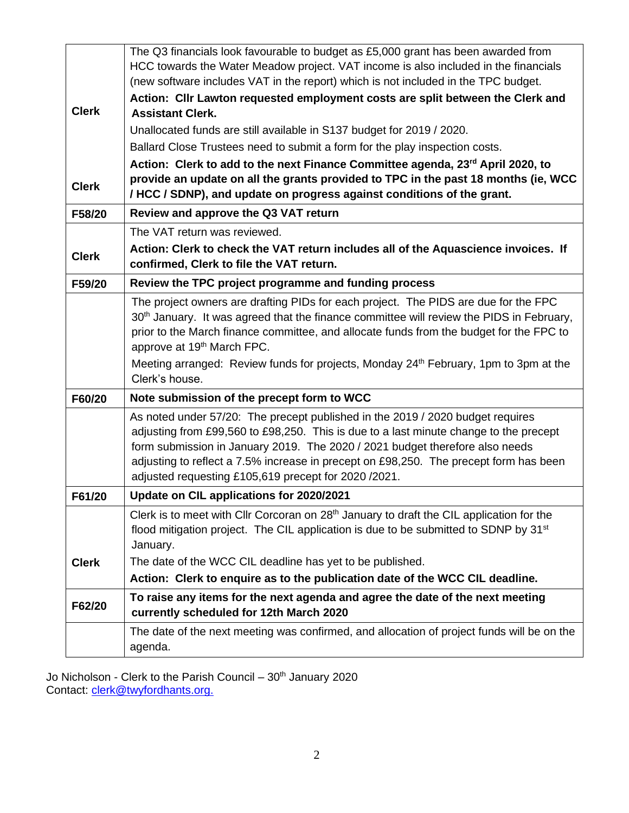|              | The Q3 financials look favourable to budget as £5,000 grant has been awarded from                                                             |  |  |  |  |  |  |  |
|--------------|-----------------------------------------------------------------------------------------------------------------------------------------------|--|--|--|--|--|--|--|
|              | HCC towards the Water Meadow project. VAT income is also included in the financials                                                           |  |  |  |  |  |  |  |
|              | (new software includes VAT in the report) which is not included in the TPC budget.                                                            |  |  |  |  |  |  |  |
|              | Action: Cllr Lawton requested employment costs are split between the Clerk and                                                                |  |  |  |  |  |  |  |
| <b>Clerk</b> | <b>Assistant Clerk.</b>                                                                                                                       |  |  |  |  |  |  |  |
|              | Unallocated funds are still available in S137 budget for 2019 / 2020.                                                                         |  |  |  |  |  |  |  |
|              | Ballard Close Trustees need to submit a form for the play inspection costs.                                                                   |  |  |  |  |  |  |  |
|              | Action: Clerk to add to the next Finance Committee agenda, 23rd April 2020, to                                                                |  |  |  |  |  |  |  |
| <b>Clerk</b> | provide an update on all the grants provided to TPC in the past 18 months (ie, WCC                                                            |  |  |  |  |  |  |  |
|              | / HCC / SDNP), and update on progress against conditions of the grant.                                                                        |  |  |  |  |  |  |  |
| F58/20       | Review and approve the Q3 VAT return                                                                                                          |  |  |  |  |  |  |  |
|              | The VAT return was reviewed.                                                                                                                  |  |  |  |  |  |  |  |
| <b>Clerk</b> | Action: Clerk to check the VAT return includes all of the Aquascience invoices. If                                                            |  |  |  |  |  |  |  |
|              | confirmed, Clerk to file the VAT return.                                                                                                      |  |  |  |  |  |  |  |
| F59/20       | Review the TPC project programme and funding process                                                                                          |  |  |  |  |  |  |  |
|              | The project owners are drafting PIDs for each project. The PIDS are due for the FPC                                                           |  |  |  |  |  |  |  |
|              | 30 <sup>th</sup> January. It was agreed that the finance committee will review the PIDS in February,                                          |  |  |  |  |  |  |  |
|              | prior to the March finance committee, and allocate funds from the budget for the FPC to                                                       |  |  |  |  |  |  |  |
|              | approve at 19 <sup>th</sup> March FPC.                                                                                                        |  |  |  |  |  |  |  |
|              | Meeting arranged: Review funds for projects, Monday 24 <sup>th</sup> February, 1pm to 3pm at the                                              |  |  |  |  |  |  |  |
|              | Clerk's house.                                                                                                                                |  |  |  |  |  |  |  |
| F60/20       | Note submission of the precept form to WCC                                                                                                    |  |  |  |  |  |  |  |
|              | As noted under 57/20: The precept published in the 2019 / 2020 budget requires                                                                |  |  |  |  |  |  |  |
|              | adjusting from £99,560 to £98,250. This is due to a last minute change to the precept                                                         |  |  |  |  |  |  |  |
|              | form submission in January 2019. The 2020 / 2021 budget therefore also needs                                                                  |  |  |  |  |  |  |  |
|              | adjusting to reflect a 7.5% increase in precept on £98,250. The precept form has been<br>adjusted requesting £105,619 precept for 2020 /2021. |  |  |  |  |  |  |  |
|              |                                                                                                                                               |  |  |  |  |  |  |  |
| F61/20       | Update on CIL applications for 2020/2021                                                                                                      |  |  |  |  |  |  |  |
|              | Clerk is to meet with Cllr Corcoran on 28 <sup>th</sup> January to draft the CIL application for the                                          |  |  |  |  |  |  |  |
|              | flood mitigation project. The CIL application is due to be submitted to SDNP by 31 <sup>st</sup><br>January.                                  |  |  |  |  |  |  |  |
|              |                                                                                                                                               |  |  |  |  |  |  |  |
| <b>Clerk</b> | The date of the WCC CIL deadline has yet to be published.                                                                                     |  |  |  |  |  |  |  |
|              | Action: Clerk to enquire as to the publication date of the WCC CIL deadline.                                                                  |  |  |  |  |  |  |  |
| F62/20       | To raise any items for the next agenda and agree the date of the next meeting<br>currently scheduled for 12th March 2020                      |  |  |  |  |  |  |  |
|              | The date of the next meeting was confirmed, and allocation of project funds will be on the<br>agenda.                                         |  |  |  |  |  |  |  |

Jo Nicholson - Clerk to the Parish Council – 30<sup>th</sup> January 2020 Contact: [clerk@twyf](mailto:clerk@twy)ordhants.org.